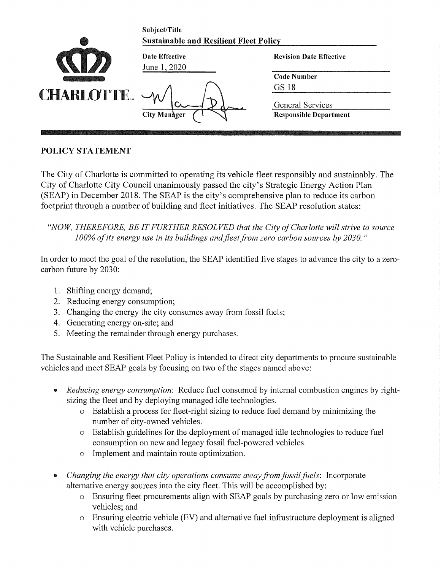|                   | Subject/Title<br><b>Sustainable and Resilient Fleet Policy</b> |                                                   |
|-------------------|----------------------------------------------------------------|---------------------------------------------------|
|                   | Date Effective<br>June 1, 2020                                 | <b>Revision Date Effective</b>                    |
| <b>CHARLOTTE.</b> | <b>City Manager</b>                                            | <b>Code Number</b><br>GS 18                       |
|                   |                                                                | General Services<br><b>Responsible Department</b> |

# **POLICY STATEMENT**

The City of Charlotte is committed to operating its vehicle fleet responsibly and sustainably. The City of Charlotte City Council unanimously passed the city's Strategic Energy Action Plan (SEAP) in December 2018. The SEAP is the city's comprehensive plan to reduce its carbon footprint through a number of building and fleet initiatives. The SEAP resolution states:

"NOW, THEREFORE, BE IT FURTHER RESOLVED that the City of Charlotte will strive to source 100% of its energy use in its buildings and fleet from zero carbon sources by 2030."

In order to meet the goal of the resolution, the SEAP identified five stages to advance the city to a zerocarbon future by 2030:

- 1. Shifting energy demand;
- 2. Reducing energy consumption;
- 3. Changing the energy the city consumes away from fossil fuels;
- 4. Generating energy on-site; and
- 5. Meeting the remainder through energy purchases.

The Sustainable and Resilient Fleet Policy is intended to direct city departments to procure sustainable vehicles and meet SEAP goals by focusing on two of the stages named above:

- *Reducing energy consumption*: Reduce fuel consumed by internal combustion engines by rightsizing the fleet and by deploying managed idle technologies.
	- o Establish a process for fleet-right sizing to reduce fuel demand by minimizing the number of city-owned vehicles.
	- o Establish guidelines for the deployment of managed idle technologies to reduce fuel consumption on new and legacy fossil fuel-powered vehicles.
	- o Implement and maintain route optimization.
- Changing the energy that city operations consume away from fossil fuels: Incorporate alternative energy sources into the city fleet. This will be accomplished by:
	- o Ensuring fleet procurements align with SEAP goals by purchasing zero or low emission vehicles; and
	- $\circ$  Ensuring electric vehicle (EV) and alternative fuel infrastructure deployment is aligned with vehicle purchases.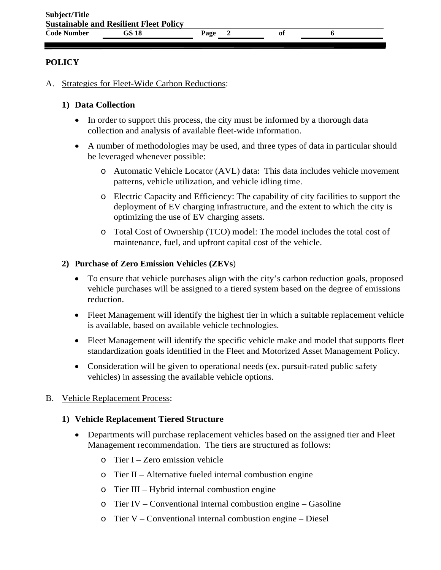#### **POLICY**

A. Strategies for Fleet-Wide Carbon Reductions:

### **1) Data Collection**

- In order to support this process, the city must be informed by a thorough data collection and analysis of available fleet-wide information.
- A number of methodologies may be used, and three types of data in particular should be leveraged whenever possible:
	- o Automatic Vehicle Locator (AVL) data: This data includes vehicle movement patterns, vehicle utilization, and vehicle idling time.
	- o Electric Capacity and Efficiency: The capability of city facilities to support the deployment of EV charging infrastructure, and the extent to which the city is optimizing the use of EV charging assets.
	- o Total Cost of Ownership (TCO) model: The model includes the total cost of maintenance, fuel, and upfront capital cost of the vehicle.

### **2) Purchase of Zero Emission Vehicles (ZEVs**)

- To ensure that vehicle purchases align with the city's carbon reduction goals, proposed vehicle purchases will be assigned to a tiered system based on the degree of emissions reduction.
- Fleet Management will identify the highest tier in which a suitable replacement vehicle is available, based on available vehicle technologies.
- Fleet Management will identify the specific vehicle make and model that supports fleet standardization goals identified in the Fleet and Motorized Asset Management Policy.
- Consideration will be given to operational needs (ex. pursuit-rated public safety vehicles) in assessing the available vehicle options.

#### B. Vehicle Replacement Process:

#### **1) Vehicle Replacement Tiered Structure**

- Departments will purchase replacement vehicles based on the assigned tier and Fleet Management recommendation. The tiers are structured as follows:
	- o Tier I Zero emission vehicle
	- o Tier II Alternative fueled internal combustion engine
	- o Tier III Hybrid internal combustion engine
	- o Tier IV Conventional internal combustion engine Gasoline
	- o Tier V Conventional internal combustion engine Diesel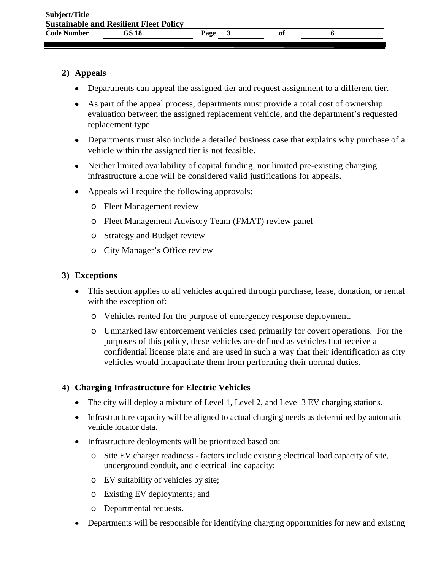## **2) Appeals**

- Departments can appeal the assigned tier and request assignment to a different tier.
- As part of the appeal process, departments must provide a total cost of ownership evaluation between the assigned replacement vehicle, and the department's requested replacement type.
- Departments must also include a detailed business case that explains why purchase of a vehicle within the assigned tier is not feasible.
- Neither limited availability of capital funding, nor limited pre-existing charging infrastructure alone will be considered valid justifications for appeals.
- Appeals will require the following approvals:
	- o Fleet Management review
	- o Fleet Management Advisory Team (FMAT) review panel
	- o Strategy and Budget review
	- o City Manager's Office review

## **3) Exceptions**

- This section applies to all vehicles acquired through purchase, lease, donation, or rental with the exception of:
	- o Vehicles rented for the purpose of emergency response deployment.
	- o Unmarked law enforcement vehicles used primarily for covert operations. For the purposes of this policy, these vehicles are defined as vehicles that receive a confidential license plate and are used in such a way that their identification as city vehicles would incapacitate them from performing their normal duties.

# **4) Charging Infrastructure for Electric Vehicles**

- The city will deploy a mixture of Level 1, Level 2, and Level 3 EV charging stations.
- Infrastructure capacity will be aligned to actual charging needs as determined by automatic vehicle locator data.
- Infrastructure deployments will be prioritized based on:
	- o Site EV charger readiness factors include existing electrical load capacity of site, underground conduit, and electrical line capacity;
	- o EV suitability of vehicles by site;
	- o Existing EV deployments; and
	- o Departmental requests.
- Departments will be responsible for identifying charging opportunities for new and existing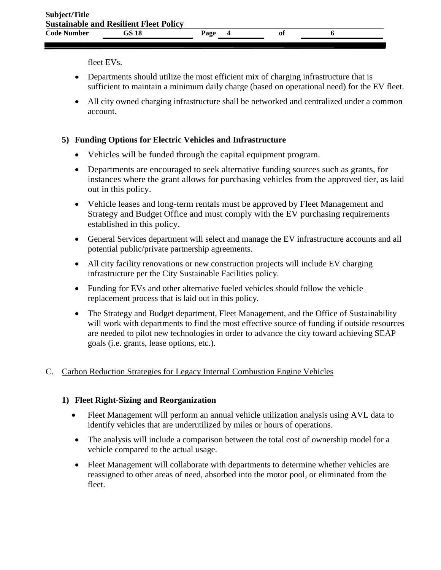fleet EVs.

- Departments should utilize the most efficient mix of charging infrastructure that is sufficient to maintain a minimum daily charge (based on operational need) for the EV fleet.
- All city owned charging infrastructure shall be networked and centralized under a common account.

# **5) Funding Options for Electric Vehicles and Infrastructure**

- Vehicles will be funded through the capital equipment program.
- Departments are encouraged to seek alternative funding sources such as grants, for instances where the grant allows for purchasing vehicles from the approved tier, as laid out in this policy.
- Vehicle leases and long-term rentals must be approved by Fleet Management and Strategy and Budget Office and must comply with the EV purchasing requirements established in this policy.
- General Services department will select and manage the EV infrastructure accounts and all potential public/private partnership agreements.
- All city facility renovations or new construction projects will include EV charging infrastructure per the City Sustainable Facilities policy.
- Funding for EVs and other alternative fueled vehicles should follow the vehicle replacement process that is laid out in this policy.
- The Strategy and Budget department, Fleet Management, and the Office of Sustainability will work with departments to find the most effective source of funding if outside resources are needed to pilot new technologies in order to advance the city toward achieving SEAP goals (i.e. grants, lease options, etc.).

# C. Carbon Reduction Strategies for Legacy Internal Combustion Engine Vehicles

## **1) Fleet Right-Sizing and Reorganization**

- Fleet Management will perform an annual vehicle utilization analysis using AVL data to identify vehicles that are underutilized by miles or hours of operations.
- The analysis will include a comparison between the total cost of ownership model for a vehicle compared to the actual usage.
- Fleet Management will collaborate with departments to determine whether vehicles are reassigned to other areas of need, absorbed into the motor pool, or eliminated from the fleet.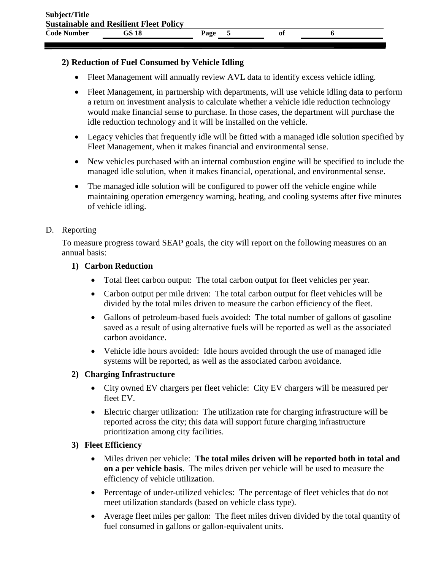## **2) Reduction of Fuel Consumed by Vehicle Idling**

- Fleet Management will annually review AVL data to identify excess vehicle idling.
- Fleet Management, in partnership with departments, will use vehicle idling data to perform a return on investment analysis to calculate whether a vehicle idle reduction technology would make financial sense to purchase. In those cases, the department will purchase the idle reduction technology and it will be installed on the vehicle.
- Legacy vehicles that frequently idle will be fitted with a managed idle solution specified by Fleet Management, when it makes financial and environmental sense.
- New vehicles purchased with an internal combustion engine will be specified to include the managed idle solution, when it makes financial, operational, and environmental sense.
- The managed idle solution will be configured to power off the vehicle engine while maintaining operation emergency warning, heating, and cooling systems after five minutes of vehicle idling.

# D. Reporting

To measure progress toward SEAP goals, the city will report on the following measures on an annual basis:

## **1) Carbon Reduction**

- Total fleet carbon output: The total carbon output for fleet vehicles per year.
- Carbon output per mile driven: The total carbon output for fleet vehicles will be divided by the total miles driven to measure the carbon efficiency of the fleet.
- Gallons of petroleum-based fuels avoided: The total number of gallons of gasoline saved as a result of using alternative fuels will be reported as well as the associated carbon avoidance.
- Vehicle idle hours avoided: Idle hours avoided through the use of managed idle systems will be reported, as well as the associated carbon avoidance.

# **2) Charging Infrastructure**

- City owned EV chargers per fleet vehicle: City EV chargers will be measured per fleet EV.
- Electric charger utilization: The utilization rate for charging infrastructure will be reported across the city; this data will support future charging infrastructure prioritization among city facilities.
- **3) Fleet Efficiency**
	- Miles driven per vehicle: **The total miles driven will be reported both in total and on a per vehicle basis**. The miles driven per vehicle will be used to measure the efficiency of vehicle utilization.
	- Percentage of under-utilized vehicles: The percentage of fleet vehicles that do not meet utilization standards (based on vehicle class type).
	- Average fleet miles per gallon: The fleet miles driven divided by the total quantity of fuel consumed in gallons or gallon-equivalent units.